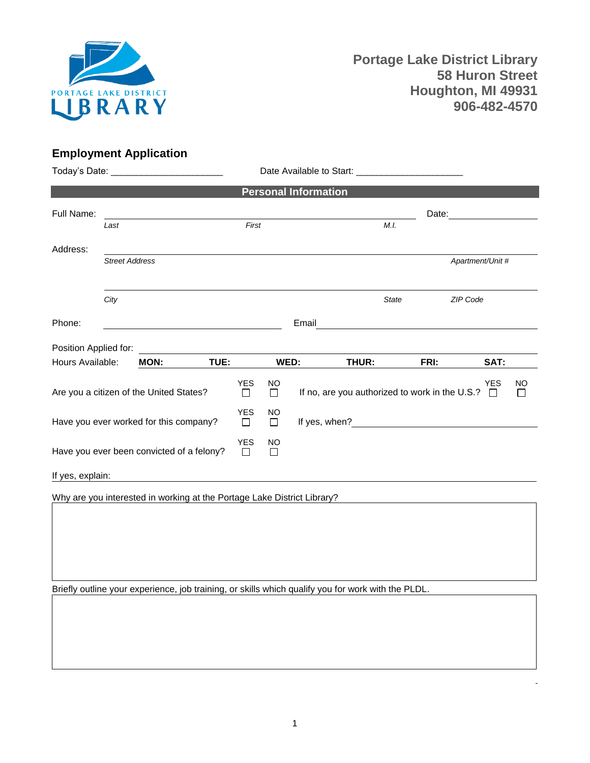

## **Employment Application**

| Today's Date: ___________________________ |                       |                                                                         |                 |                 |         |                             |                                                                                                                                                                                                                               |              |      |                      |              |
|-------------------------------------------|-----------------------|-------------------------------------------------------------------------|-----------------|-----------------|---------|-----------------------------|-------------------------------------------------------------------------------------------------------------------------------------------------------------------------------------------------------------------------------|--------------|------|----------------------|--------------|
|                                           |                       |                                                                         |                 |                 |         | <b>Personal Information</b> |                                                                                                                                                                                                                               |              |      |                      |              |
| Full Name:                                |                       |                                                                         |                 |                 |         |                             | Date:                                                                                                                                                                                                                         |              |      |                      |              |
|                                           | Last                  |                                                                         |                 | First           |         |                             |                                                                                                                                                                                                                               | M.I.         |      |                      |              |
| Address:                                  |                       |                                                                         |                 |                 |         |                             |                                                                                                                                                                                                                               |              |      |                      |              |
|                                           | <b>Street Address</b> |                                                                         |                 |                 |         |                             |                                                                                                                                                                                                                               |              |      | Apartment/Unit #     |              |
|                                           | City                  |                                                                         |                 |                 |         |                             |                                                                                                                                                                                                                               | <b>State</b> |      | ZIP Code             |              |
| Phone:                                    |                       |                                                                         |                 |                 |         | Email                       |                                                                                                                                                                                                                               |              |      |                      |              |
| Position Applied for:                     |                       |                                                                         |                 |                 |         |                             |                                                                                                                                                                                                                               |              |      |                      |              |
| Hours Available:                          |                       | <b>MON:</b>                                                             | TUE:            |                 |         | WED:                        | THUR:                                                                                                                                                                                                                         |              | FRI: | SAT:                 |              |
|                                           |                       | Are you a citizen of the United States?                                 |                 | <b>YES</b><br>П | NO<br>П |                             | If no, are you authorized to work in the U.S.?                                                                                                                                                                                |              |      | <b>YES</b><br>$\Box$ | NO<br>$\Box$ |
|                                           |                       | Have you ever worked for this company?                                  |                 | <b>YES</b><br>□ | NO<br>П |                             | If yes, when? The state of the state of the state of the state of the state of the state of the state of the state of the state of the state of the state of the state of the state of the state of the state of the state of |              |      |                      |              |
| Have you ever been convicted of a felony? |                       |                                                                         | <b>YES</b><br>□ | NO.<br>$\Box$   |         |                             |                                                                                                                                                                                                                               |              |      |                      |              |
| If yes, explain:                          |                       |                                                                         |                 |                 |         |                             |                                                                                                                                                                                                                               |              |      |                      |              |
|                                           |                       | Why are you interested in working at the Portage Lake District Library? |                 |                 |         |                             |                                                                                                                                                                                                                               |              |      |                      |              |

Briefly outline your experience, job training, or skills which qualify you for work with the PLDL.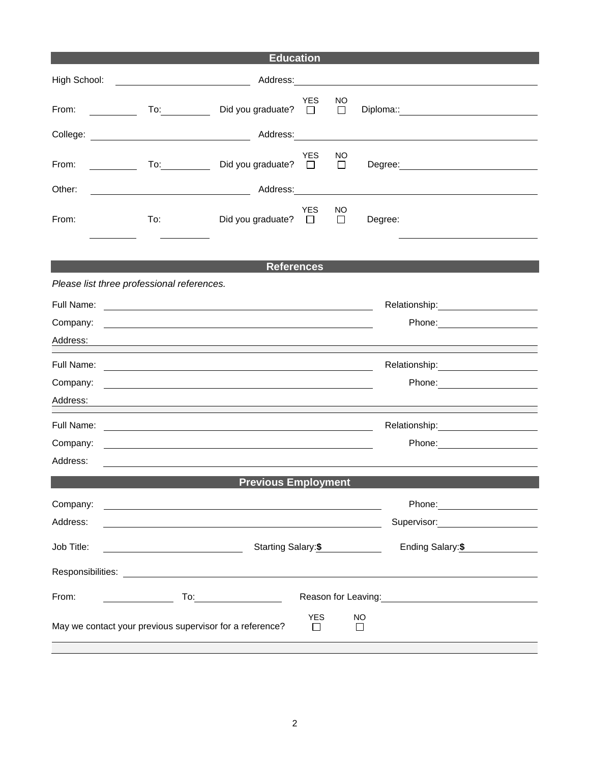| <b>Education</b>              |                                             |                                                                                                                       |                      |               |          |                                            |  |  |
|-------------------------------|---------------------------------------------|-----------------------------------------------------------------------------------------------------------------------|----------------------|---------------|----------|--------------------------------------------|--|--|
| High School:                  |                                             |                                                                                                                       |                      |               |          |                                            |  |  |
| From:                         | $\overline{10}$ : $\overline{\phantom{101}$ | Did you graduate?                                                                                                     | <b>YES</b><br>$\Box$ | NO.<br>$\Box$ |          | Diploma:: <u>_______</u> ________          |  |  |
|                               |                                             | Address:                                                                                                              |                      |               |          |                                            |  |  |
| From:<br>$\sim$ $\sim$ $\sim$ | $\overline{a}$                              | Did you graduate?                                                                                                     | <b>YES</b><br>$\Box$ | NO.<br>□      |          |                                            |  |  |
| Other:                        |                                             |                                                                                                                       |                      |               |          |                                            |  |  |
| From:                         | To:                                         | Did you graduate? $\square$                                                                                           | <b>YES</b>           | NO.<br>$\Box$ | Degree:  |                                            |  |  |
|                               |                                             | <b>References</b>                                                                                                     |                      |               |          |                                            |  |  |
|                               | Please list three professional references.  |                                                                                                                       |                      |               |          |                                            |  |  |
| Full Name:                    |                                             | <u> 1989 - Johann Stone, mars et al. (</u>                                                                            |                      |               |          |                                            |  |  |
| Company:                      |                                             | <u> 1989 - Johann Barnett, fransk politiker (d. 1989)</u>                                                             |                      |               |          |                                            |  |  |
| Address:                      |                                             |                                                                                                                       |                      |               |          |                                            |  |  |
| Full Name:                    |                                             | <u> 1989 - Johann Stoff, deutscher Stoff, der Stoff, der Stoff, der Stoff, der Stoff, der Stoff, der Stoff, der S</u> |                      |               |          |                                            |  |  |
| Company:                      |                                             | and the control of the control of the control of the control of the control of the control of the control of the      |                      |               |          |                                            |  |  |
| Address:                      |                                             |                                                                                                                       |                      |               |          |                                            |  |  |
| Full Name:                    |                                             | <u> 1980 - Johann John Stone, markin f</u>                                                                            |                      |               |          | Relationship: __________________           |  |  |
| Company:                      |                                             |                                                                                                                       |                      |               |          |                                            |  |  |
| Address:                      |                                             |                                                                                                                       |                      |               |          |                                            |  |  |
| <b>Previous Employment</b>    |                                             |                                                                                                                       |                      |               |          |                                            |  |  |
| Company:                      |                                             | and the control of the control of the control of the control of the control of the control of the control of the      |                      |               |          | Phone: <u>______________________</u>       |  |  |
| Address:                      |                                             |                                                                                                                       |                      |               |          | Supervisor: Victor Control of Supervisor:  |  |  |
| Job Title:                    | <u> 1980 - Johann Barbara, martin a</u>     | Starting Salary:\$                                                                                                    |                      |               |          | Ending Salary:\$                           |  |  |
|                               |                                             |                                                                                                                       |                      |               |          |                                            |  |  |
| From:                         |                                             |                                                                                                                       |                      |               |          | Reason for Leaving:<br><u>Example 2008</u> |  |  |
|                               |                                             | May we contact your previous supervisor for a reference?                                                              | <b>YES</b><br>$\Box$ |               | NO.<br>П |                                            |  |  |